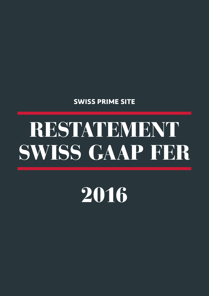## **SWISS PRIME SITE**

# RESTATEMENT SWISS GAAP FER

2016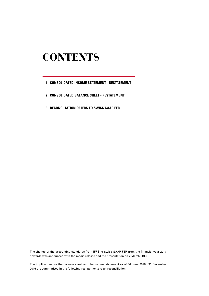### **CONTENTS**

- **1 CONSOLIDATED INCOME STATEMENT RESTATEMENT**
- **2 CONSOLIDATED BALANCE SHEET RESTATEMENT**
- **3 RECONCILIATION OF IFRS TO SWISS GAAP FER**

The change of the accounting standards from IFRS to Swiss GAAP FER from the financial year 2017 onwards was announced with the media release and the presentation on 2 March 2017.

The implications for the balance sheet and the income statement as of 30 June 2016 / 31 December 2016 are summarized in the following restatements resp. reconciliation.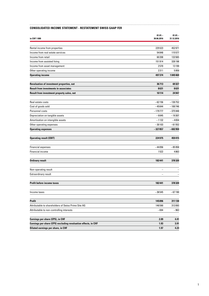#### **CONSOLIDATED INCOME STATEMENT - RESTATEMENT SWISS GAAP FER**

| in CHF 1000                                                    | $01.01 -$<br>30.06.2016 | $01.01 -$<br>31.12.2016 |
|----------------------------------------------------------------|-------------------------|-------------------------|
|                                                                |                         |                         |
| Rental income from properties                                  | 225523                  | 452971                  |
| Income from real estate services                               | 54848                   | 115577                  |
| Income from retail                                             | 60 208                  | 133565                  |
| Income from assisted living                                    | 151914                  | 328 198                 |
| Income from asset management                                   | 2570                    | 13199                   |
| Other operating income                                         | 2311                    | 5959                    |
| <b>Operating income</b>                                        | 497374                  | 1049469                 |
| Revaluation of investment properties, net                      | 36713                   | 69327                   |
| <b>Result from investments in associates</b>                   | 8631                    | 8631                    |
| Result from investment property sales, net                     | 10114                   | 24947                   |
| Real estate costs                                              | $-62156$                | $-130752$               |
| Cost of goods sold                                             | $-45644$                | $-100746$               |
| Personnel costs                                                | $-179777$               | $-375948$               |
| Depreciation on tangible assets                                | $-9045$                 | $-19307$                |
| Amortisation on intangible assets                              | $-1132$                 | $-4654$                 |
| Other operating expenses                                       | $-30103$                | $-61552$                |
| <b>Operating expenses</b>                                      | $-327857$               | $-692959$               |
| <b>Operating result (EBIT)</b>                                 | 224975                  | 459415                  |
| <b>Financial expenses</b>                                      | $-44056$                | $-85958$                |
| Financial income                                               | 1522                    | 4863                    |
| <b>Ordinary result</b>                                         | 182441                  | 378320                  |
| Non-operating result                                           |                         |                         |
| Extraordinary result                                           |                         |                         |
| <b>Profit before income taxes</b>                              | 182441                  | 378320                  |
| Income taxes                                                   | $-36545$                | $-67190$                |
| <b>Profit</b>                                                  | 145896                  | 311 130                 |
| Attributable to shareholders of Swiss Prime Site AG            | 146 590                 | 312093                  |
| Attributable to non-controlling interests                      | $-694$                  | -963                    |
| Earnings per share (EPS), in CHF                               | 2.09                    | 4.41                    |
| Earnings per share (EPS) excluding revaluation effects, in CHF | 1.93                    | 3.91                    |
| Diluted earnings per share, in CHF                             | 1.97                    | 4.23                    |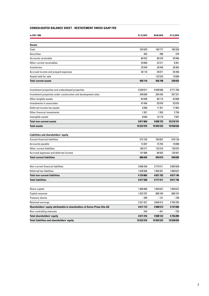#### **CONSOLIDATED BALANCE SHEET - RESTATEMENT SWISS GAAP FER**

| in CHF 1000                                                              | 31.12.2015 | 30.06.2016 | 31.12.2016 |
|--------------------------------------------------------------------------|------------|------------|------------|
| Assets                                                                   |            |            |            |
| Cash                                                                     | 234929     | 160777     | 160326     |
| <b>Securities</b>                                                        | 482        | 496        | 479        |
| Accounts receivable                                                      | 80432      | 88370      | 93946      |
| Other current receivables                                                | 25608      | 22311      | 8261       |
| Inventories                                                              | 25549      | 26448      | 28463      |
| Accrued income and prepaid expenses                                      | 38116      | 35 871     | 35450      |
| Assets held for sale                                                     |            | 122525     | 13000      |
| <b>Total current assets</b>                                              | 405116     | 456798     | 339925     |
|                                                                          |            |            |            |
| Investment properties and undeveloped properties                         | 9339917    | 9499566    | 9771769    |
| Investment properties under construction and development sites           | 346690     | 264345     | 307331     |
| Other tangible assets                                                    | 64590      | 68115      | 62806      |
| Investments in associates                                                | 47494      | 53976      | 53976      |
| Deferred income tax assets                                               | 9268       | 11351      | 11902      |
| Other financial investments                                              | 1261       | 1263       | 2750       |
| Intangible assets                                                        | 8640       | 10119      | 7567       |
| <b>Total non-current assets</b>                                          | 9817860    | 9908735    | 10218101   |
| <b>Total assets</b>                                                      | 10222976   | 10 365 533 | 10 558 026 |
| Liabilities and shareholders' equity                                     |            |            |            |
| <b>Current financial liabilities</b>                                     | 572105     | 700097     | 678136     |
| Accounts payable                                                         | 13307      | 15704      | 15088      |
| Other current liabilities                                                | 160 217    | 133316     | 126975     |
| Accrued expenses and deferred income                                     | 141066     | 96 502     | 120401     |
| <b>Total current liabilities</b>                                         | 886 695    | 945619     | 940600     |
|                                                                          |            |            |            |
| Non-current financial liabilities                                        | 3696359    | 3775511    | 3805509    |
| Deferred tax liabilities                                                 | 1028506    | 1056281    | 1065637    |
| <b>Total non-current liabilities</b>                                     | 4724865    | 4831792    | 4871146    |
| <b>Total liabilities</b>                                                 | 5611560    | 5777411    | 5811746    |
| Share capital                                                            | 1065668    | 1093627    | 1093627    |
| Capital reserves                                                         | 1023787    | 888 165    | 888187     |
| Treasury shares                                                          | $-209$     | $-131$     | $-109$     |
| Retained earnings                                                        | 2521927    | 2606912    | 2 765 295  |
| Shareholders' equity attributable to shareholders of Swiss Prime Site AG | 4611173    | 4588573    | 4 747 000  |
| Non-controlling interests                                                | 243        | $-451$     | $-720$     |
| <b>Total shareholders' equity</b>                                        | 4611416    | 4588122    | 4746280    |
| Total liabilities and shareholders' equity                               | 10 222 976 | 10365533   | 10 558 026 |